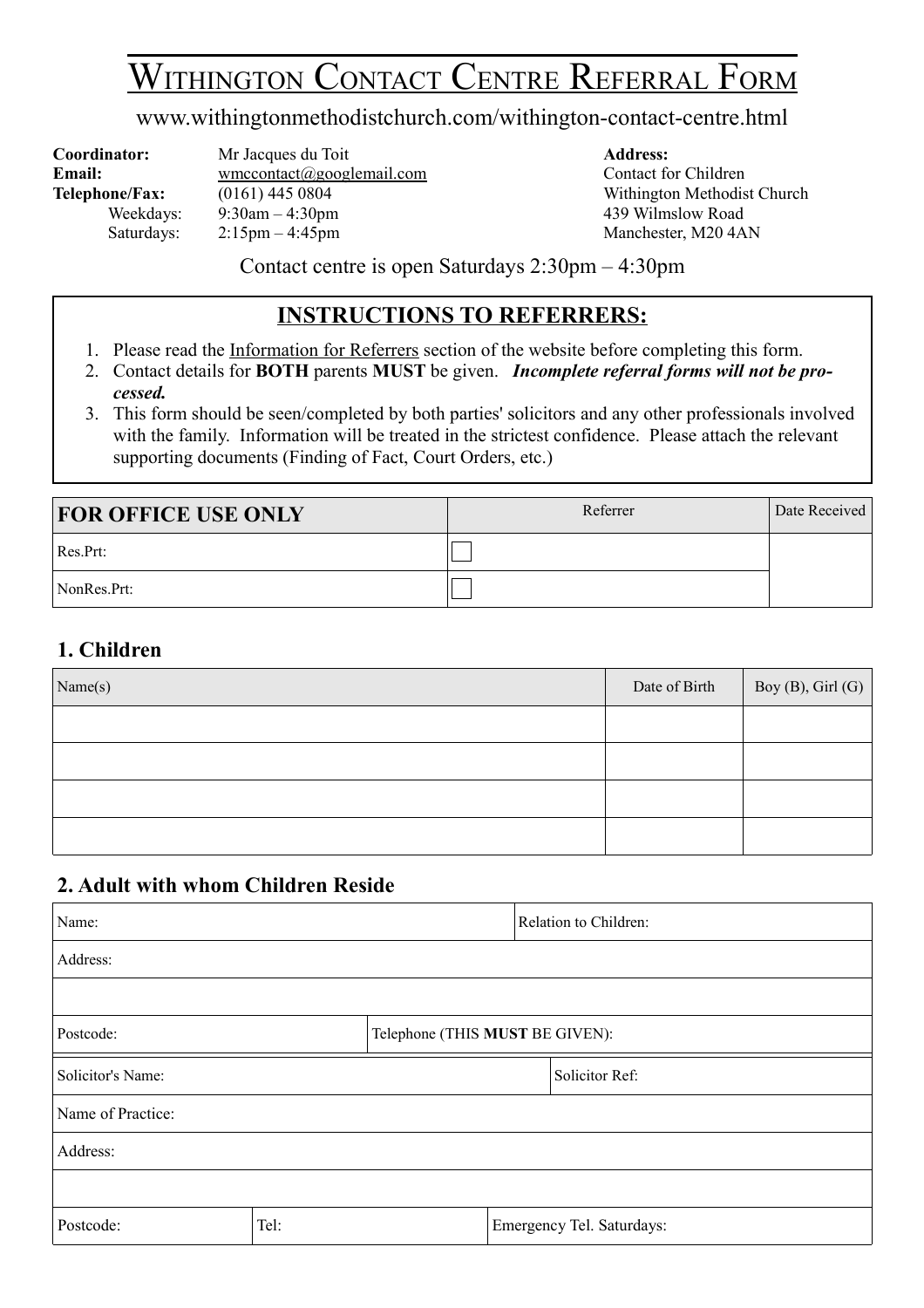# WITHINGTON CONTACT CENTRE REFERRAL FORM

#### www.withingtonmethodistchurch.com/withington-contact-centre.html

**Coordinator:** Mr Jacques du Toit **Address:** Email: wmccontact@googlemail.com Contact for Children Telephone/Fax:  $(0161)$  445 0804 Withington Methodist Church Weekdays:  $9:30 \text{am} - 4:30 \text{pm}$  439 Wilmslow Road Saturdays:  $2:15 \text{pm} - 4:45 \text{pm}$  Manchester, M20 4AN

Contact centre is open Saturdays 2:30pm – 4:30pm

#### **INSTRUCTIONS TO REFERRERS:**

- 1. Please read the Information for Referrers section of the website before completing this form.
- 2. Contact details for **BOTH** parents **MUST** be given. *Incomplete referral forms will not be processed.*
- 3. This form should be seen/completed by both parties' solicitors and any other professionals involved with the family. Information will be treated in the strictest confidence. Please attach the relevant supporting documents (Finding of Fact, Court Orders, etc.)

| <b>FOR OFFICE USE ONLY</b> | Referrer | Date Received |
|----------------------------|----------|---------------|
| Res.Prt:                   |          |               |
| NonRes.Prt:                |          |               |

#### **1. Children**

| Name(s) | Date of Birth | $\log$ (B), Girl (G) |
|---------|---------------|----------------------|
|         |               |                      |
|         |               |                      |
|         |               |                      |
|         |               |                      |

#### **2. Adult with whom Children Reside**

| Name:             |      |                                 | Relation to Children:     |
|-------------------|------|---------------------------------|---------------------------|
| Address:          |      |                                 |                           |
|                   |      |                                 |                           |
| Postcode:         |      | Telephone (THIS MUST BE GIVEN): |                           |
| Solicitor's Name: |      |                                 | Solicitor Ref:            |
| Name of Practice: |      |                                 |                           |
| Address:          |      |                                 |                           |
|                   |      |                                 |                           |
| Postcode:         | Tel: |                                 | Emergency Tel. Saturdays: |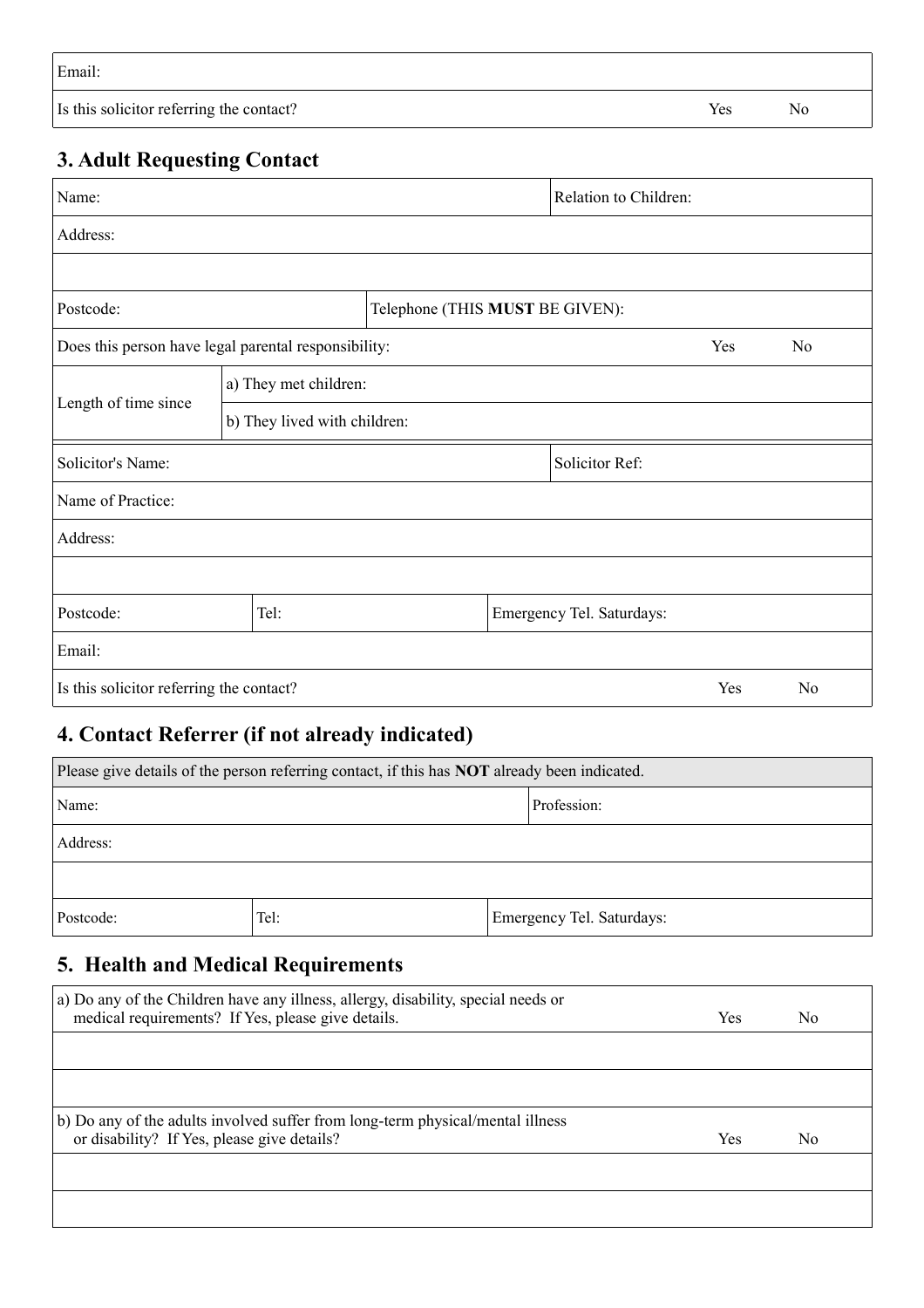| Email:                                   |     |     |
|------------------------------------------|-----|-----|
| Is this solicitor referring the contact? | Yes | No. |

## **3. Adult Requesting Contact**

| Name:                                                                         |      |                                 |  | Relation to Children:     |     |                |
|-------------------------------------------------------------------------------|------|---------------------------------|--|---------------------------|-----|----------------|
| Address:                                                                      |      |                                 |  |                           |     |                |
|                                                                               |      |                                 |  |                           |     |                |
| Postcode:                                                                     |      | Telephone (THIS MUST BE GIVEN): |  |                           |     |                |
| Does this person have legal parental responsibility:                          |      |                                 |  |                           | Yes | No             |
| a) They met children:<br>Length of time since<br>b) They lived with children: |      |                                 |  |                           |     |                |
|                                                                               |      |                                 |  |                           |     |                |
| Solicitor's Name:                                                             |      |                                 |  | Solicitor Ref:            |     |                |
| Name of Practice:                                                             |      |                                 |  |                           |     |                |
| Address:                                                                      |      |                                 |  |                           |     |                |
|                                                                               |      |                                 |  |                           |     |                |
| Postcode:                                                                     | Tel: |                                 |  | Emergency Tel. Saturdays: |     |                |
| Email:                                                                        |      |                                 |  |                           |     |                |
| Is this solicitor referring the contact?                                      |      |                                 |  |                           | Yes | N <sub>o</sub> |

# **4. Contact Referrer (if not already indicated)**

| Please give details of the person referring contact, if this has <b>NOT</b> already been indicated. |      |  |                           |
|-----------------------------------------------------------------------------------------------------|------|--|---------------------------|
| Profession:<br>Name:                                                                                |      |  |                           |
| Address:                                                                                            |      |  |                           |
|                                                                                                     |      |  |                           |
| Postcode:                                                                                           | Tel: |  | Emergency Tel. Saturdays: |

# **5. Health and Medical Requirements**

| a) Do any of the Children have any illness, allergy, disability, special needs or |     |     |
|-----------------------------------------------------------------------------------|-----|-----|
| medical requirements? If Yes, please give details.                                | Yes | No. |
|                                                                                   |     |     |
|                                                                                   |     |     |
|                                                                                   |     |     |
| b) Do any of the adults involved suffer from long-term physical/mental illness    |     |     |
| or disability? If Yes, please give details?                                       | Yes | No. |
|                                                                                   |     |     |
|                                                                                   |     |     |
|                                                                                   |     |     |
|                                                                                   |     |     |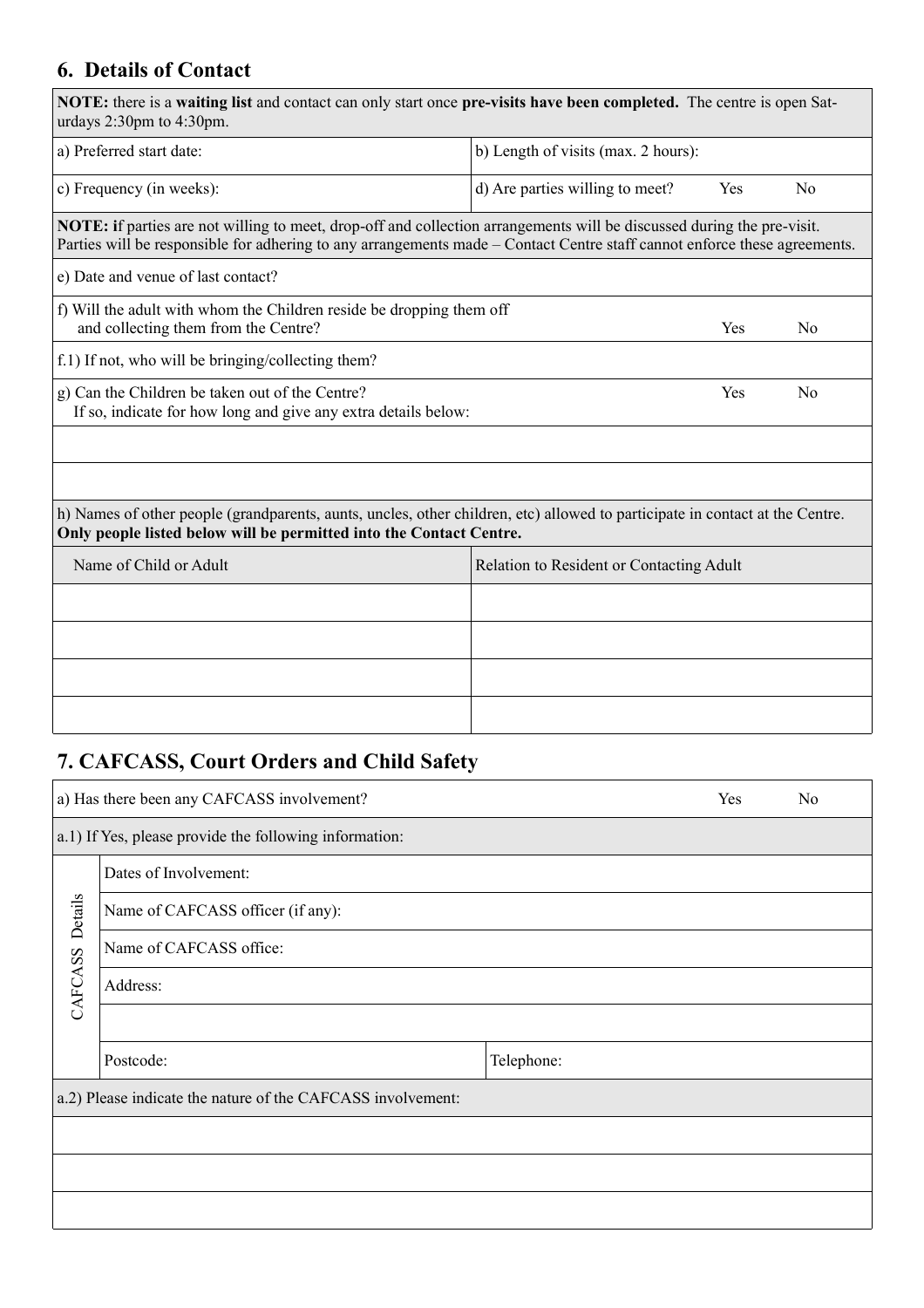## **6. Details of Contact**

| NOTE: there is a waiting list and contact can only start once pre-visits have been completed. The centre is open Sat-<br>urdays 2:30pm to 4:30pm.                                                                                                          |                                          |     |                |
|------------------------------------------------------------------------------------------------------------------------------------------------------------------------------------------------------------------------------------------------------------|------------------------------------------|-----|----------------|
| a) Preferred start date:                                                                                                                                                                                                                                   | b) Length of visits (max. 2 hours):      |     |                |
| c) Frequency (in weeks):                                                                                                                                                                                                                                   | d) Are parties willing to meet?          | Yes | N <sub>0</sub> |
| <b>NOTE:</b> if parties are not willing to meet, drop-off and collection arrangements will be discussed during the pre-visit.<br>Parties will be responsible for adhering to any arrangements made – Contact Centre staff cannot enforce these agreements. |                                          |     |                |
| e) Date and venue of last contact?                                                                                                                                                                                                                         |                                          |     |                |
| f) Will the adult with whom the Children reside be dropping them off<br>and collecting them from the Centre?                                                                                                                                               |                                          | Yes | No             |
| f.1) If not, who will be bringing/collecting them?                                                                                                                                                                                                         |                                          |     |                |
| g) Can the Children be taken out of the Centre?<br>If so, indicate for how long and give any extra details below:                                                                                                                                          |                                          | Yes | N <sub>0</sub> |
|                                                                                                                                                                                                                                                            |                                          |     |                |
|                                                                                                                                                                                                                                                            |                                          |     |                |
| h) Names of other people (grandparents, aunts, uncles, other children, etc) allowed to participate in contact at the Centre.<br>Only people listed below will be permitted into the Contact Centre.                                                        |                                          |     |                |
| Name of Child or Adult                                                                                                                                                                                                                                     | Relation to Resident or Contacting Adult |     |                |
|                                                                                                                                                                                                                                                            |                                          |     |                |
|                                                                                                                                                                                                                                                            |                                          |     |                |
|                                                                                                                                                                                                                                                            |                                          |     |                |
|                                                                                                                                                                                                                                                            |                                          |     |                |

# **7. CAFCASS, Court Orders and Child Safety**

|         | a) Has there been any CAFCASS involvement?                  |            | Yes | N <sub>0</sub> |
|---------|-------------------------------------------------------------|------------|-----|----------------|
|         | a.1) If Yes, please provide the following information:      |            |     |                |
|         | Dates of Involvement:                                       |            |     |                |
| Details | Name of CAFCASS officer (if any):                           |            |     |                |
|         | Name of CAFCASS office:                                     |            |     |                |
| CAFCASS | Address:                                                    |            |     |                |
|         |                                                             |            |     |                |
|         | Postcode:                                                   | Telephone: |     |                |
|         | a.2) Please indicate the nature of the CAFCASS involvement: |            |     |                |
|         |                                                             |            |     |                |
|         |                                                             |            |     |                |
|         |                                                             |            |     |                |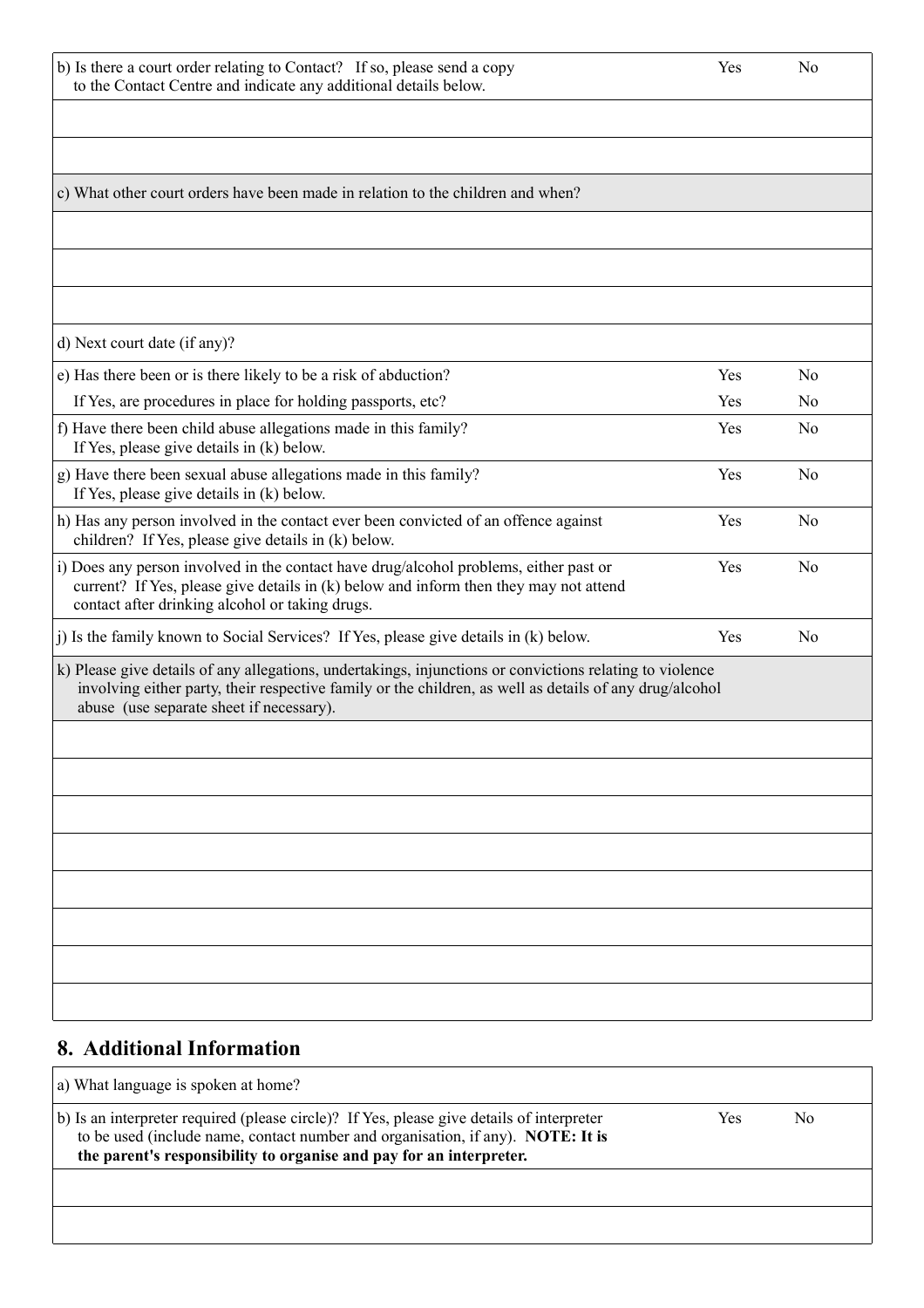| b) Is there a court order relating to Contact? If so, please send a copy | Yes. | No |
|--------------------------------------------------------------------------|------|----|
| to the Contact Centre and indicate any additional details below.         |      |    |

| c) What other court orders have been made in relation to the children and when?                                                                                                                                                                                 |     |                |
|-----------------------------------------------------------------------------------------------------------------------------------------------------------------------------------------------------------------------------------------------------------------|-----|----------------|
|                                                                                                                                                                                                                                                                 |     |                |
|                                                                                                                                                                                                                                                                 |     |                |
|                                                                                                                                                                                                                                                                 |     |                |
| d) Next court date (if any)?                                                                                                                                                                                                                                    |     |                |
| e) Has there been or is there likely to be a risk of abduction?                                                                                                                                                                                                 | Yes | N <sub>0</sub> |
| If Yes, are procedures in place for holding passports, etc?                                                                                                                                                                                                     | Yes | No             |
| f) Have there been child abuse allegations made in this family?<br>If Yes, please give details in (k) below.                                                                                                                                                    | Yes | N <sub>0</sub> |
| g) Have there been sexual abuse allegations made in this family?<br>If Yes, please give details in (k) below.                                                                                                                                                   | Yes | N <sub>0</sub> |
| h) Has any person involved in the contact ever been convicted of an offence against<br>children? If Yes, please give details in (k) below.                                                                                                                      | Yes | N <sub>0</sub> |
| i) Does any person involved in the contact have drug/alcohol problems, either past or<br>current? If Yes, please give details in (k) below and inform then they may not attend<br>contact after drinking alcohol or taking drugs.                               | Yes | N <sub>0</sub> |
| j) Is the family known to Social Services? If Yes, please give details in (k) below.                                                                                                                                                                            | Yes | N <sub>0</sub> |
| k) Please give details of any allegations, undertakings, injunctions or convictions relating to violence<br>involving either party, their respective family or the children, as well as details of any drug/alcohol<br>abuse (use separate sheet if necessary). |     |                |
|                                                                                                                                                                                                                                                                 |     |                |
|                                                                                                                                                                                                                                                                 |     |                |
|                                                                                                                                                                                                                                                                 |     |                |
|                                                                                                                                                                                                                                                                 |     |                |
|                                                                                                                                                                                                                                                                 |     |                |
|                                                                                                                                                                                                                                                                 |     |                |
|                                                                                                                                                                                                                                                                 |     |                |
|                                                                                                                                                                                                                                                                 |     |                |

### **8. Additional Information**

| a) What language is spoken at home?                                                                                                                                                                                                                 |     |    |
|-----------------------------------------------------------------------------------------------------------------------------------------------------------------------------------------------------------------------------------------------------|-----|----|
| b) Is an interpreter required (please circle)? If Yes, please give details of interpreter<br>to be used (include name, contact number and organisation, if any). NOTE: It is<br>the parent's responsibility to organise and pay for an interpreter. | Yes | No |
|                                                                                                                                                                                                                                                     |     |    |
|                                                                                                                                                                                                                                                     |     |    |